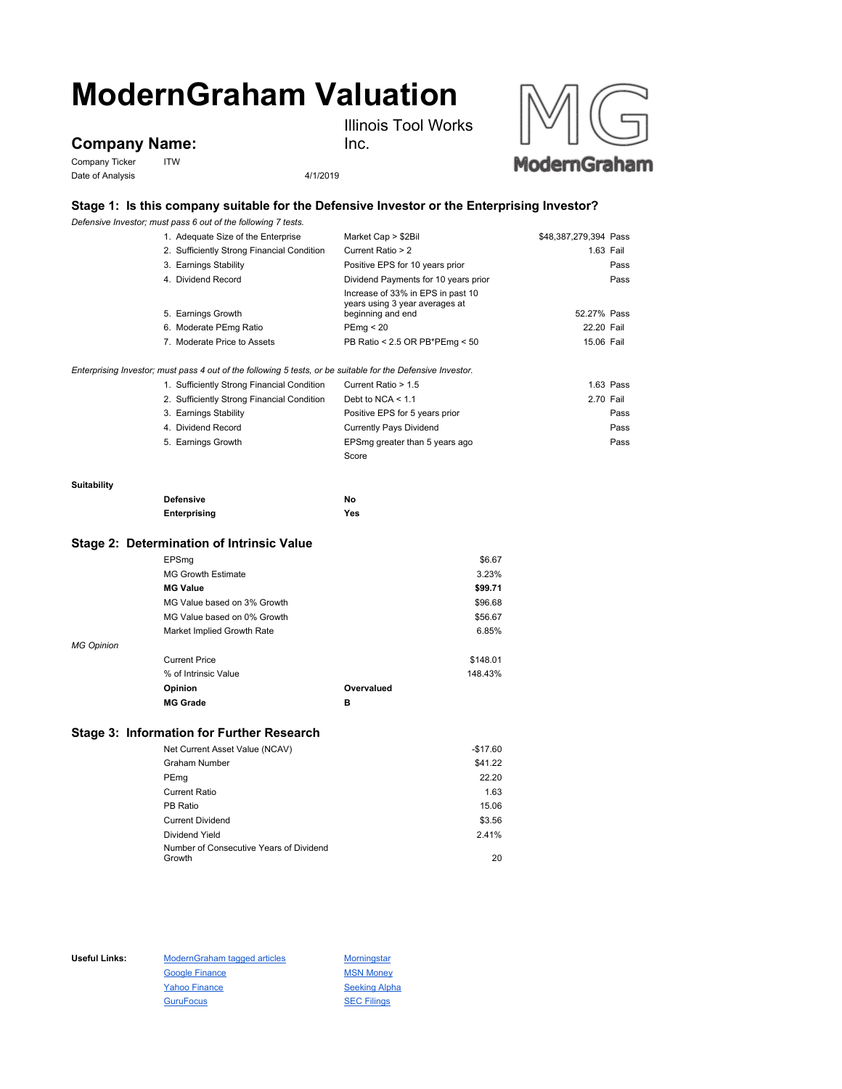# **ModernGraham Valuation**

**Company Name:**

Company Ticker ITW Date of Analysis 4/1/2019





## **Stage 1: Is this company suitable for the Defensive Investor or the Enterprising Investor?**

Inc.

*Defensive Investor; must pass 6 out of the following 7 tests.*

|                                                                                                             | 1. Adequate Size of the Enterprise         | Market Cap > \$2Bil                                                                      | \$48,387,279,394 Pass |  |
|-------------------------------------------------------------------------------------------------------------|--------------------------------------------|------------------------------------------------------------------------------------------|-----------------------|--|
|                                                                                                             | 2. Sufficiently Strong Financial Condition | Current Ratio > 2                                                                        | 1.63 Fail             |  |
|                                                                                                             | 3. Earnings Stability                      | Positive EPS for 10 years prior                                                          | Pass                  |  |
|                                                                                                             | 4. Dividend Record                         | Dividend Payments for 10 years prior                                                     | Pass                  |  |
|                                                                                                             | 5. Earnings Growth                         | Increase of 33% in EPS in past 10<br>years using 3 year averages at<br>beginning and end | 52.27% Pass           |  |
|                                                                                                             | 6. Moderate PEmg Ratio                     | PEmq < 20                                                                                | 22.20 Fail            |  |
|                                                                                                             | 7. Moderate Price to Assets                | PB Ratio < 2.5 OR PB*PEmg < 50                                                           | 15.06 Fail            |  |
| Enterprising Investor; must pass 4 out of the following 5 tests, or be suitable for the Defensive Investor. |                                            |                                                                                          |                       |  |
|                                                                                                             | 1. Sufficiently Strong Financial Condition | Current Ratio > 1.5                                                                      | $1.63$ Pass           |  |
|                                                                                                             | 2. Sufficiently Strong Financial Condition | Debt to NCA $<$ 1.1                                                                      | 2.70 Fail             |  |
|                                                                                                             | 3. Earnings Stability                      | Positive EPS for 5 years prior                                                           | Pass                  |  |
|                                                                                                             | 4. Dividend Record                         | <b>Currently Pays Dividend</b>                                                           | Pass                  |  |
|                                                                                                             | 5. Earnings Growth                         | EPSmg greater than 5 years ago                                                           | Pass                  |  |
|                                                                                                             |                                            | Score                                                                                    |                       |  |
| Suitability                                                                                                 |                                            |                                                                                          |                       |  |
|                                                                                                             | <b>Defensive</b>                           | No                                                                                       |                       |  |
|                                                                                                             | Enterprising                               | Yes                                                                                      |                       |  |
| Stage 2: Determination of Intrinsic Value                                                                   |                                            |                                                                                          |                       |  |
|                                                                                                             | EPSmg                                      |                                                                                          | \$6.67                |  |

|                   | <b>MG Growth Estimate</b>   |            | 3.23%    |
|-------------------|-----------------------------|------------|----------|
|                   | <b>MG Value</b>             |            | \$99.71  |
|                   | MG Value based on 3% Growth |            | \$96.68  |
|                   | MG Value based on 0% Growth |            | \$56.67  |
|                   | Market Implied Growth Rate  |            | 6.85%    |
| <b>MG Opinion</b> |                             |            |          |
|                   | <b>Current Price</b>        |            | \$148.01 |
|                   | % of Intrinsic Value        |            | 148.43%  |
|                   | Opinion                     | Overvalued |          |
|                   | <b>MG Grade</b>             | в          |          |

## **Stage 3: Information for Further Research**

| Net Current Asset Value (NCAV)          | $-$17.60$ |
|-----------------------------------------|-----------|
| <b>Graham Number</b>                    | \$41.22   |
| PEmg                                    | 22.20     |
| <b>Current Ratio</b>                    | 1.63      |
| PB Ratio                                | 15.06     |
| <b>Current Dividend</b>                 | \$3.56    |
| Dividend Yield                          | 2.41%     |
| Number of Consecutive Years of Dividend |           |
| Growth                                  | 20        |

Useful Links: ModernGraham tagged articles Morningstar Google Finance MSN Money Yahoo Finance Seeking Alpha GuruFocus **SEC Filings**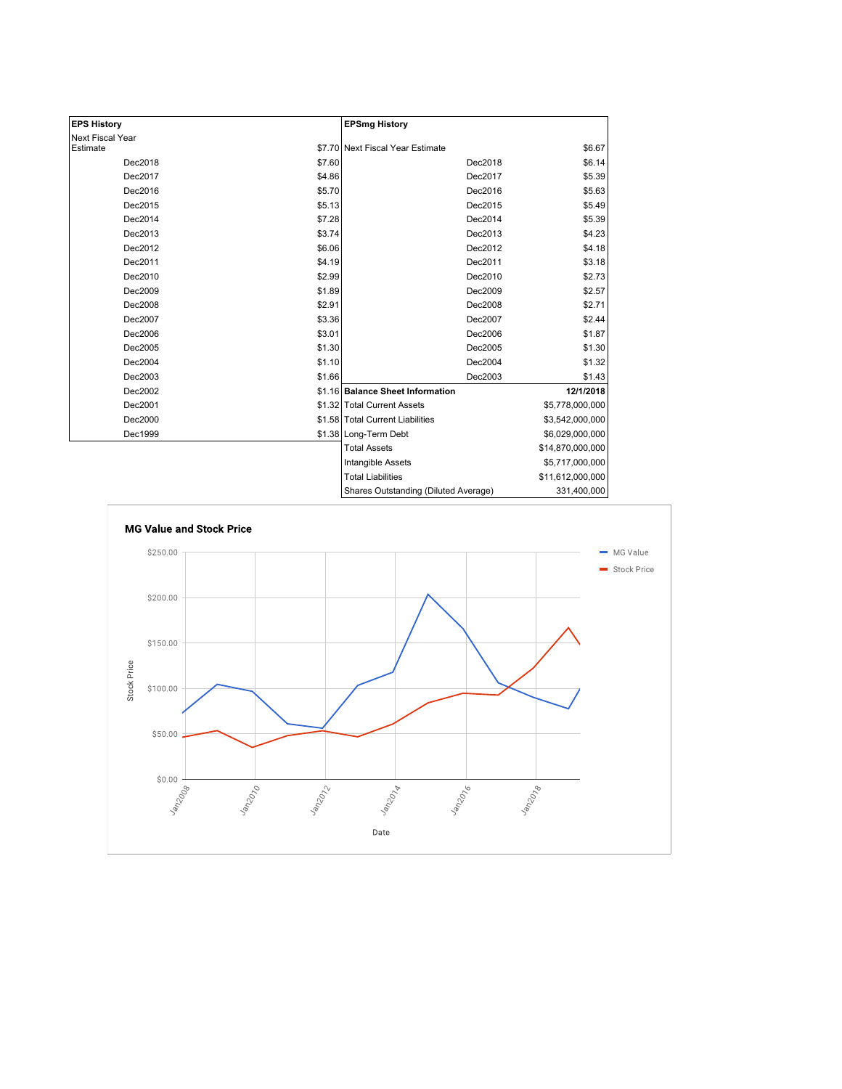| <b>EPS History</b> |        | <b>EPSmg History</b>                 |                  |
|--------------------|--------|--------------------------------------|------------------|
| Next Fiscal Year   |        |                                      |                  |
| Estimate           |        | \$7.70 Next Fiscal Year Estimate     | \$6.67           |
| Dec2018            | \$7.60 | Dec2018                              | \$6.14           |
| Dec2017            | \$4.86 | Dec2017                              | \$5.39           |
| Dec2016            | \$5.70 | Dec2016                              | \$5.63           |
| Dec2015            | \$5.13 | Dec2015                              | \$5.49           |
| Dec2014            | \$7.28 | Dec2014                              | \$5.39           |
| Dec2013            | \$3.74 | Dec2013                              | \$4.23           |
| Dec2012            | \$6.06 | Dec2012                              | \$4.18           |
| Dec2011            | \$4.19 | Dec2011                              | \$3.18           |
| Dec2010            | \$2.99 | Dec2010                              | \$2.73           |
| Dec2009            | \$1.89 | Dec2009                              | \$2.57           |
| Dec2008            | \$2.91 | Dec2008                              | \$2.71           |
| Dec2007            | \$3.36 | Dec2007                              | \$2.44           |
| Dec2006            | \$3.01 | Dec2006                              | \$1.87           |
| Dec2005            | \$1.30 | Dec2005                              | \$1.30           |
| Dec2004            | \$1.10 | Dec2004                              | \$1.32           |
| Dec2003            | \$1.66 | Dec2003                              | \$1.43           |
| Dec2002            |        | \$1.16 Balance Sheet Information     | 12/1/2018        |
| Dec2001            |        | \$1.32 Total Current Assets          | \$5,778,000,000  |
| Dec2000            |        | \$1.58 Total Current Liabilities     | \$3,542,000,000  |
| Dec1999            |        | \$1.38 Long-Term Debt                | \$6,029,000,000  |
|                    |        | <b>Total Assets</b>                  | \$14,870,000,000 |
|                    |        | Intangible Assets                    | \$5,717,000,000  |
|                    |        | <b>Total Liabilities</b>             | \$11,612,000,000 |
|                    |        | Shares Outstanding (Diluted Average) | 331,400,000      |